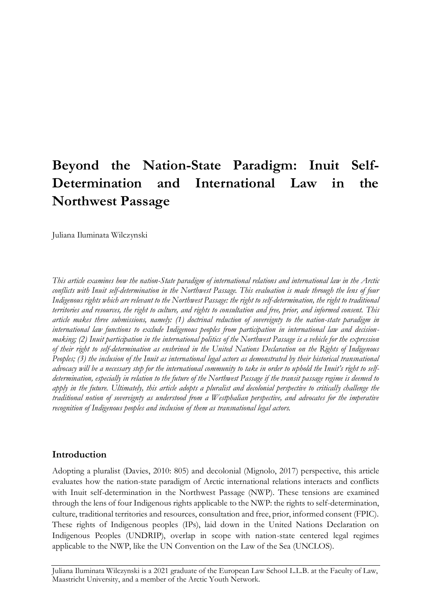# **Beyond the Nation-State Paradigm: Inuit Self-Determination and International Law in the Northwest Passage**

Juliana Iluminata Wilczynski

*This article examines how the nation-State paradigm of international relations and international law in the Arctic conflicts with Inuit self-determination in the Northwest Passage. This evaluation is made through the lens of four Indigenous rights which are relevant to the Northwest Passage: the right to self-determination, the right to traditional territories and resources, the right to culture, and rights to consultation and free, prior, and informed consent. This article makes three submissions, namely: (1) doctrinal reduction of sovereignty to the nation-state paradigm in international law functions to exclude Indigenous peoples from participation in international law and decisionmaking; (2) Inuit participation in the international politics of the Northwest Passage is a vehicle for the expression of their right to self-determination as enshrined in the United Nations Declaration on the Rights of Indigenous Peoples; (3) the inclusion of the Inuit as international legal actors as demonstrated by their historical transnational advocacy will be a necessary step for the international community to take in order to uphold the Inuit's right to selfdetermination, especially in relation to the future of the Northwest Passage if the transit passage regime is deemed to apply in the future. Ultimately, this article adopts a pluralist and decolonial perspective to critically challenge the traditional notion of sovereignty as understood from a Westphalian perspective, and advocates for the imperative recognition of Indigenous peoples and inclusion of them as transnational legal actors.*

### **Introduction**

Adopting a pluralist (Davies, 2010: 805) and decolonial (Mignolo, 2017) perspective, this article evaluates how the nation-state paradigm of Arctic international relations interacts and conflicts with Inuit self-determination in the Northwest Passage (NWP). These tensions are examined through the lens of four Indigenous rights applicable to the NWP: the rights to self-determination, culture, traditional territories and resources, consultation and free, prior, informed consent (FPIC). These rights of Indigenous peoples (IPs), laid down in the United Nations Declaration on Indigenous Peoples (UNDRIP), overlap in scope with nation-state centered legal regimes applicable to the NWP, like the UN Convention on the Law of the Sea (UNCLOS).

Juliana Iluminata Wilczynski is a 2021 graduate of the European Law School L.L.B. at the Faculty of Law, Maastricht University, and a member of the Arctic Youth Network.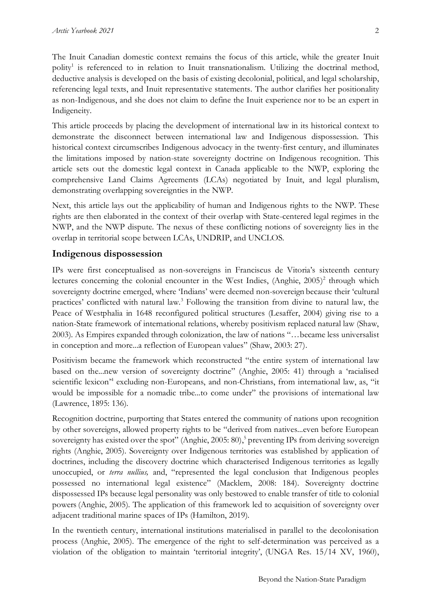The Inuit Canadian domestic context remains the focus of this article, while the greater Inuit polity<sup>1</sup> is referenced to in relation to Inuit transnationalism. Utilizing the doctrinal method, deductive analysis is developed on the basis of existing decolonial, political, and legal scholarship, referencing legal texts, and Inuit representative statements. The author clarifies her positionality as non-Indigenous, and she does not claim to define the Inuit experience nor to be an expert in Indigeneity.

This article proceeds by placing the development of international law in its historical context to demonstrate the disconnect between international law and Indigenous dispossession. This historical context circumscribes Indigenous advocacy in the twenty-first century, and illuminates the limitations imposed by nation-state sovereignty doctrine on Indigenous recognition. This article sets out the domestic legal context in Canada applicable to the NWP, exploring the comprehensive Land Claims Agreements (LCAs) negotiated by Inuit, and legal pluralism, demonstrating overlapping sovereignties in the NWP.

Next, this article lays out the applicability of human and Indigenous rights to the NWP. These rights are then elaborated in the context of their overlap with State-centered legal regimes in the NWP, and the NWP dispute. The nexus of these conflicting notions of sovereignty lies in the overlap in territorial scope between LCAs, UNDRIP, and UNCLOS.

### **Indigenous dispossession**

IPs were first conceptualised as non-sovereigns in Franciscus de Vitoria's sixteenth century lectures concerning the colonial encounter in the West Indies, (Anghie, 2005)<sup>2</sup> through which sovereignty doctrine emerged, where 'Indians' were deemed non-sovereign because their 'cultural practices' conflicted with natural law.<sup>3</sup> Following the transition from divine to natural law, the Peace of Westphalia in 1648 reconfigured political structures (Lesaffer, 2004) giving rise to a nation-State framework of international relations, whereby positivism replaced natural law (Shaw, 2003). As Empires expanded through colonization, the law of nations "…became less universalist in conception and more...a reflection of European values" (Shaw, 2003: 27).

Positivism became the framework which reconstructed "the entire system of international law based on the...new version of sovereignty doctrine" (Anghie, 2005: 41) through a 'racialised scientific lexicon<sup>24</sup> excluding non-Europeans, and non-Christians, from international law, as, "it would be impossible for a nomadic tribe...to come under" the provisions of international law (Lawrence, 1895: 136).

Recognition doctrine, purporting that States entered the community of nations upon recognition by other sovereigns, allowed property rights to be "derived from natives...even before European sovereignty has existed over the spot" (Anghie, 2005: 80),<sup>5</sup> preventing IPs from deriving sovereign rights (Anghie, 2005). Sovereignty over Indigenous territories was established by application of doctrines, including the discovery doctrine which characterised Indigenous territories as legally unoccupied, or *terra nullius,* and, "represented the legal conclusion that Indigenous peoples possessed no international legal existence" (Macklem, 2008: 184). Sovereignty doctrine dispossessed IPs because legal personality was only bestowed to enable transfer of title to colonial powers(Anghie, 2005). The application of this framework led to acquisition of sovereignty over adjacent traditional marine spaces of IPs (Hamilton, 2019).

In the twentieth century, international institutions materialised in parallel to the decolonisation process (Anghie, 2005). The emergence of the right to self-determination was perceived as a violation of the obligation to maintain 'territorial integrity', (UNGA Res. 15/14 XV, 1960),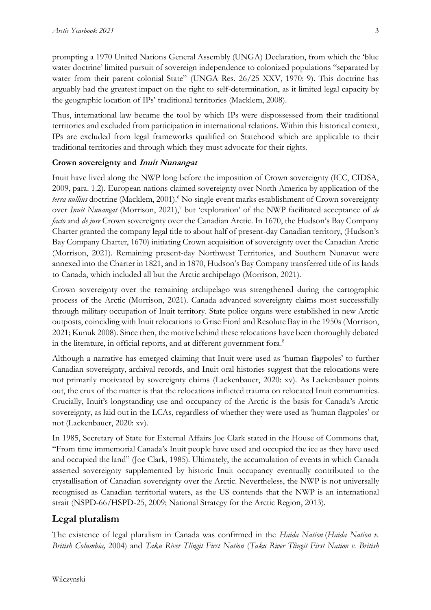prompting a 1970 United Nations General Assembly (UNGA) Declaration, from which the 'blue water doctrine' limited pursuit of sovereign independence to colonized populations "separated by water from their parent colonial State" (UNGA Res. 26/25 XXV, 1970: 9). This doctrine has arguably had the greatest impact on the right to self-determination, as it limited legal capacity by the geographic location of IPs' traditional territories (Macklem, 2008).

Thus, international law became the tool by which IPs were dispossessed from their traditional territories and excluded from participation in international relations. Within this historical context, IPs are excluded from legal frameworks qualified on Statehood which are applicable to their traditional territories and through which they must advocate for their rights.

# **Crown sovereignty and Inuit Nunangat**

Inuit have lived along the NWP long before the imposition of Crown sovereignty (ICC, CIDSA, 2009, para. 1.2). European nations claimed sovereignty over North America by application of the *terra nullius* doctrine (Macklem, 2001).<sup>6</sup> No single event marks establishment of Crown sovereignty over *Inuit Nunangat* (Morrison, 2021),<sup>7</sup> but 'exploration' of the NWP facilitated acceptance of *de facto* and *de jure* Crown sovereignty over the Canadian Arctic. In 1670, the Hudson's Bay Company Charter granted the company legal title to about half of present-day Canadian territory, (Hudson's Bay Company Charter, 1670) initiating Crown acquisition of sovereignty over the Canadian Arctic (Morrison, 2021). Remaining present-day Northwest Territories, and Southern Nunavut were annexed into the Charter in 1821, and in 1870, Hudson's Bay Company transferred title of its lands to Canada, which included all but the Arctic archipelago (Morrison, 2021).

Crown sovereignty over the remaining archipelago was strengthened during the cartographic process of the Arctic (Morrison, 2021). Canada advanced sovereignty claims most successfully through military occupation of Inuit territory. State police organs were established in new Arctic outposts, coinciding with Inuit relocations to Grise Fiord and Resolute Bay in the 1950s (Morrison, 2021; Kunuk 2008). Since then, the motive behind these relocations have been thoroughly debated in the literature, in official reports, and at different government fora.<sup>8</sup>

Although a narrative has emerged claiming that Inuit were used as 'human flagpoles' to further Canadian sovereignty, archival records, and Inuit oral histories suggest that the relocations were not primarily motivated by sovereignty claims (Lackenbauer, 2020: xv). As Lackenbauer points out, the crux of the matter is that the relocations inflicted trauma on relocated Inuit communities. Crucially, Inuit's longstanding use and occupancy of the Arctic is the basis for Canada's Arctic sovereignty, as laid out in the LCAs, regardless of whether they were used as 'human flagpoles' or not (Lackenbauer, 2020: xv).

In 1985, Secretary of State for External Affairs Joe Clark stated in the House of Commons that, "From time immemorial Canada's Inuit people have used and occupied the ice as they have used and occupied the land" (Joe Clark, 1985). Ultimately, the accumulation of events in which Canada asserted sovereignty supplemented by historic Inuit occupancy eventually contributed to the crystallisation of Canadian sovereignty over the Arctic. Nevertheless, the NWP is not universally recognised as Canadian territorial waters, as the US contends that the NWP is an international strait (NSPD-66/HSPD-25, 2009; National Strategy for the Arctic Region, 2013).

# **Legal pluralism**

The existence of legal pluralism in Canada was confirmed in the *Haida Nation* (*Haida Nation v. British Columbia,* 2004) and *Taku River Tlingit First Nation* (*Taku River Tlingit First Nation v. British*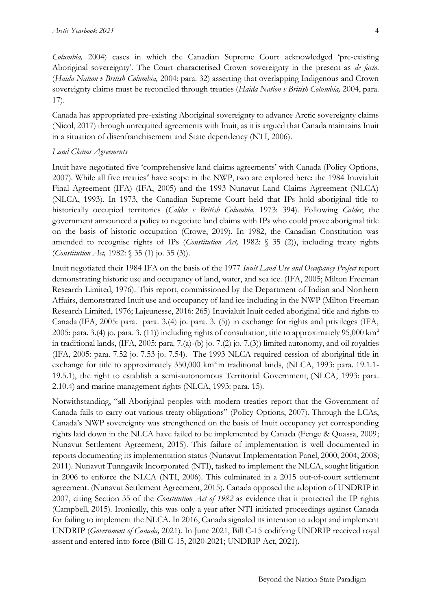*Columbia,* 2004) cases in which the Canadian Supreme Court acknowledged 'pre-existing Aboriginal sovereignty'. The Court characterised Crown sovereignty in the present as *de facto,*  (*Haida Nation v British Columbia,* 2004: para. 32) asserting that overlapping Indigenous and Crown sovereignty claims must be reconciled through treaties (*Haida Nation v British Columbia,* 2004, para. 17).

Canada has appropriated pre-existing Aboriginal sovereignty to advance Arctic sovereignty claims (Nicol, 2017) through unrequited agreements with Inuit, as it is argued that Canada maintains Inuit in a situation of disenfranchisement and State dependency (NTI, 2006).

#### *Land Claims Agreements*

Inuit have negotiated five 'comprehensive land claims agreements' with Canada (Policy Options, 2007). While all five treaties<sup>9</sup> have scope in the NWP, two are explored here: the 1984 Inuvialuit Final Agreement (IFA) (IFA, 2005) and the 1993 Nunavut Land Claims Agreement (NLCA) (NLCA, 1993). In 1973, the Canadian Supreme Court held that IPs hold aboriginal title to historically occupied territories (*Calder v British Columbia,* 1973: 394). Following *Calder*, the government announced a policy to negotiate land claims with IPs who could prove aboriginal title on the basis of historic occupation (Crowe, 2019). In 1982, the Canadian Constitution was amended to recognise rights of IPs (*Constitution Act,* 1982: § 35 (2)), including treaty rights (*Constitution Act,* 1982: § 35 (1) jo. 35 (3)).

Inuit negotiated their 1984 IFA on the basis of the 1977 *Inuit Land Use and Occupancy Project* report demonstrating historic use and occupancy of land, water, and sea ice. (IFA, 2005; Milton Freeman Research Limited, 1976). This report, commissioned by the Department of Indian and Northern Affairs, demonstrated Inuit use and occupancy of land ice including in the NWP (Milton Freeman Research Limited, 1976; Lajeunesse, 2016: 265) Inuvialuit Inuit ceded aboriginal title and rights to Canada (IFA, 2005: para. para. 3.(4) jo. para. 3. (5)) in exchange for rights and privileges (IFA, 2005: para. 3.(4) jo. para. 3. (11)) including rights of consultation, title to approximately 95,000 km<sup>2</sup> in traditional lands,  $(IFA, 2005: para. 7.(a)-(b) jo. 7.(2) jo. 7.(3))$  limited autonomy, and oil royalties (IFA, 2005: para. 7.52 jo. 7.53 jo. 7.54). The 1993 NLCA required cession of aboriginal title in exchange for title to approximately 350,000 km<sup>2</sup> in traditional lands, (NLCA, 1993: para. 19.1.1-19.5.1), the right to establish a semi-autonomous Territorial Government, (NLCA, 1993: para. 2.10.4) and marine management rights (NLCA, 1993: para. 15).

Notwithstanding, "all Aboriginal peoples with modern treaties report that the Government of Canada fails to carry out various treaty obligations" (Policy Options, 2007). Through the LCAs, Canada's NWP sovereignty was strengthened on the basis of Inuit occupancy yet corresponding rights laid down in the NLCA have failed to be implemented by Canada (Fenge & Quassa, 2009; Nunavut Settlement Agreement, 2015). This failure of implementation is well documented in reports documenting its implementation status (Nunavut Implementation Panel, 2000; 2004; 2008; 2011). Nunavut Tunngavik Incorporated (NTI), tasked to implement the NLCA, sought litigation in 2006 to enforce the NLCA (NTI, 2006). This culminated in a 2015 out-of-court settlement agreement. (Nunavut Settlement Agreement, 2015). Canada opposed the adoption of UNDRIP in 2007, citing Section 35 of the *Constitution Act of 1982* as evidence that it protected the IP rights (Campbell, 2015). Ironically, this was only a year after NTI initiated proceedings against Canada for failing to implement the NLCA. In 2016, Canada signaled its intention to adopt and implement UNDRIP (*Government of Canada,* 2021). In June 2021, Bill C-15 codifying UNDRIP received royal assent and entered into force (Bill C-15, 2020-2021; UNDRIP Act, 2021).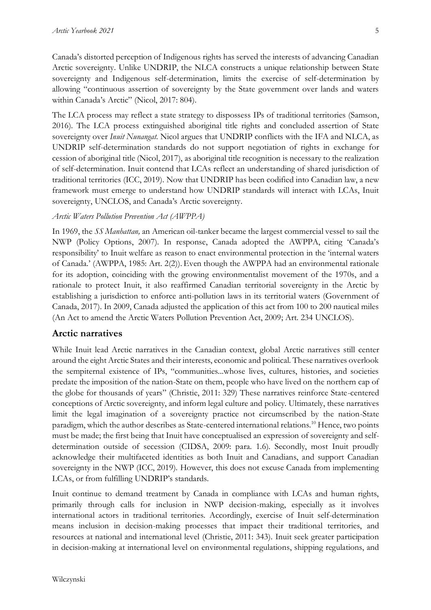Canada's distorted perception of Indigenous rights has served the interests of advancing Canadian Arctic sovereignty. Unlike UNDRIP, the NLCA constructs a unique relationship between State sovereignty and Indigenous self-determination, limits the exercise of self-determination by allowing "continuous assertion of sovereignty by the State government over lands and waters within Canada's Arctic" (Nicol, 2017: 804).

The LCA process may reflect a state strategy to dispossess IPs of traditional territories (Samson, 2016). The LCA process extinguished aboriginal title rights and concluded assertion of State sovereignty over *Inuit Nunangat*. Nicol argues that UNDRIP conflicts with the IFA and NLCA, as UNDRIP self-determination standards do not support negotiation of rights in exchange for cession of aboriginal title (Nicol, 2017), as aboriginal title recognition is necessary to the realization of self-determination. Inuit contend that LCAs reflect an understanding of shared jurisdiction of traditional territories (ICC, 2019). Now that UNDRIP has been codified into Canadian law, a new framework must emerge to understand how UNDRIP standards will interact with LCAs, Inuit sovereignty, UNCLOS, and Canada's Arctic sovereignty.

### *Arctic Waters Pollution Prevention Act (AWPPA)*

In 1969, the *SS Manhattan,* an American oil-tanker became the largest commercial vessel to sail the NWP (Policy Options, 2007). In response, Canada adopted the AWPPA, citing 'Canada's responsibility' to Inuit welfare as reason to enact environmental protection in the 'internal waters of Canada.' (AWPPA, 1985: Art. 2(2)).Even though the AWPPA had an environmental rationale for its adoption, coinciding with the growing environmentalist movement of the 1970s, and a rationale to protect Inuit, it also reaffirmed Canadian territorial sovereignty in the Arctic by establishing a jurisdiction to enforce anti-pollution laws in its territorial waters (Government of Canada, 2017). In 2009, Canada adjusted the application of this act from 100 to 200 nautical miles (An Act to amend the Arctic Waters Pollution Prevention Act, 2009; Art. 234 UNCLOS).

### **Arctic narratives**

While Inuit lead Arctic narratives in the Canadian context, global Arctic narratives still center around the eight Arctic States and their interests, economic and political. These narratives overlook the sempiternal existence of IPs, "communities...whose lives, cultures, histories, and societies predate the imposition of the nation-State on them, people who have lived on the northern cap of the globe for thousands of years" (Christie, 2011: 329) These narratives reinforce State-centered conceptions of Arctic sovereignty, and inform legal culture and policy. Ultimately, these narratives limit the legal imagination of a sovereignty practice not circumscribed by the nation-State paradigm, which the author describes as State-centered international relations.<sup>10</sup> Hence, two points must be made; the first being that Inuit have conceptualised an expression of sovereignty and selfdetermination outside of secession (CIDSA, 2009: para. 1.6). Secondly, most Inuit proudly acknowledge their multifaceted identities as both Inuit and Canadians, and support Canadian sovereignty in the NWP (ICC, 2019). However, this does not excuse Canada from implementing LCAs, or from fulfilling UNDRIP's standards.

Inuit continue to demand treatment by Canada in compliance with LCAs and human rights, primarily through calls for inclusion in NWP decision-making, especially as it involves international actors in traditional territories. Accordingly, exercise of Inuit self-determination means inclusion in decision-making processes that impact their traditional territories, and resources at national and international level (Christie, 2011: 343). Inuit seek greater participation in decision-making at international level on environmental regulations, shipping regulations, and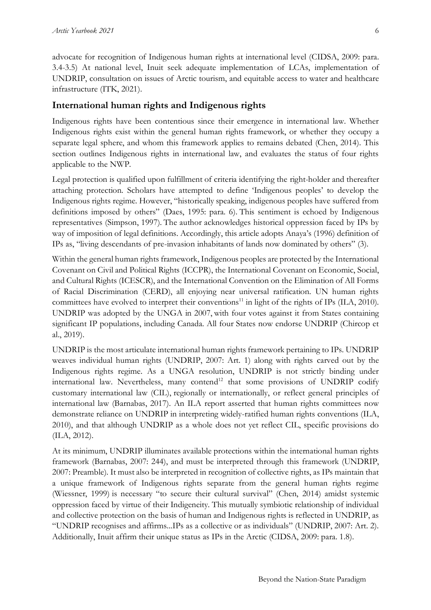advocate for recognition of Indigenous human rights at international level (CIDSA, 2009: para. 3.4-3.5) At national level, Inuit seek adequate implementation of LCAs, implementation of UNDRIP, consultation on issues of Arctic tourism, and equitable access to water and healthcare infrastructure (ITK, 2021).

### **International human rights and Indigenous rights**

Indigenous rights have been contentious since their emergence in international law. Whether Indigenous rights exist within the general human rights framework, or whether they occupy a separate legal sphere, and whom this framework applies to remains debated (Chen, 2014). This section outlines Indigenous rights in international law, and evaluates the status of four rights applicable to the NWP.

Legal protection is qualified upon fulfillment of criteria identifying the right-holder and thereafter attaching protection. Scholars have attempted to define 'Indigenous peoples' to develop the Indigenous rights regime. However, "historically speaking, indigenous peoples have suffered from definitions imposed by others" (Daes, 1995: para. 6). This sentiment is echoed by Indigenous representatives (Simpson, 1997). The author acknowledges historical oppression faced by IPs by way of imposition of legal definitions. Accordingly, this article adopts Anaya's (1996) definition of IPs as, "living descendants of pre-invasion inhabitants of lands now dominated by others" (3).

Within the general human rights framework, Indigenous peoples are protected by the International Covenant on Civil and Political Rights (ICCPR), the International Covenant on Economic, Social, and Cultural Rights (ICESCR), and the International Convention on the Elimination of All Forms of Racial Discrimination (CERD), all enjoying near universal ratification. UN human rights committees have evolved to interpret their conventions<sup>11</sup> in light of the rights of IPs (ILA, 2010). UNDRIP was adopted by the UNGA in 2007, with four votes against it from States containing significant IP populations, including Canada. All four States now endorse UNDRIP (Chircop et al., 2019).

UNDRIP is the most articulate international human rights framework pertaining to IPs. UNDRIP weaves individual human rights (UNDRIP, 2007: Art. 1) along with rights carved out by the Indigenous rights regime. As a UNGA resolution, UNDRIP is not strictly binding under international law. Nevertheless, many contend<sup>12</sup> that some provisions of UNDRIP codify customary international law (CIL), regionally or internationally, or reflect general principles of international law (Barnabas, 2017). An ILA report asserted that human rights committees now demonstrate reliance on UNDRIP in interpreting widely-ratified human rights conventions (ILA, 2010), and that although UNDRIP as a whole does not yet reflect CIL, specific provisions do (ILA, 2012).

At its minimum, UNDRIP illuminates available protections within the international human rights framework (Barnabas, 2007: 244), and must be interpreted through this framework (UNDRIP, 2007: Preamble). It must also be interpreted in recognition of collective rights, as IPs maintain that a unique framework of Indigenous rights separate from the general human rights regime (Wiessner, 1999) is necessary "to secure their cultural survival" (Chen, 2014) amidst systemic oppression faced by virtue of their Indigeneity. This mutually symbiotic relationship of individual and collective protection on the basis of human and Indigenous rights is reflected in UNDRIP, as "UNDRIP recognises and affirms...IPs as a collective or as individuals" (UNDRIP, 2007: Art. 2). Additionally, Inuit affirm their unique status as IPs in the Arctic (CIDSA, 2009: para. 1.8).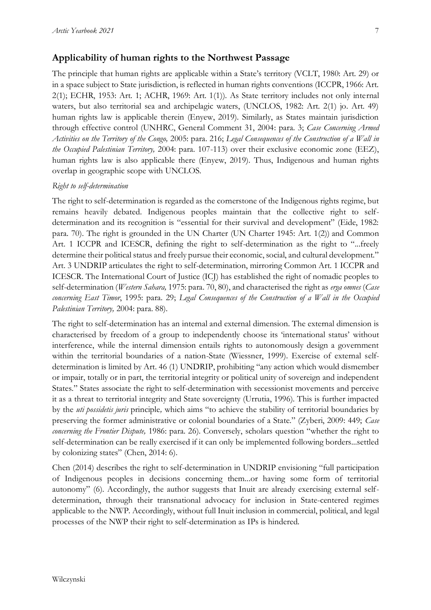## **Applicability of human rights to the Northwest Passage**

The principle that human rights are applicable within a State's territory (VCLT, 1980: Art. 29) or in a space subject to State jurisdiction, is reflected in human rights conventions (ICCPR, 1966: Art. 2(1); ECHR, 1953: Art. 1; ACHR, 1969: Art. 1(1)). As State territory includes not only internal waters, but also territorial sea and archipelagic waters, (UNCLOS, 1982: Art. 2(1) jo. Art. 49) human rights law is applicable therein (Enyew, 2019). Similarly, as States maintain jurisdiction through effective control (UNHRC, General Comment 31, 2004: para. 3; *Case Concerning Armed Activities on the Territory of the Congo,* 2005: para. 216; *Legal Consequences of the Construction of a Wall in the Occupied Palestinian Territory,* 2004: para. 107-113) over their exclusive economic zone (EEZ), human rights law is also applicable there (Enyew, 2019). Thus, Indigenous and human rights overlap in geographic scope with UNCLOS.

#### *Right to self-determination*

The right to self-determination is regarded as the cornerstone of the Indigenous rights regime, but remains heavily debated. Indigenous peoples maintain that the collective right to selfdetermination and its recognition is "essential for their survival and development" (Eide, 1982: para. 70). The right is grounded in the UN Charter (UN Charter 1945: Art. 1(2)) and Common Art. 1 ICCPR and ICESCR, defining the right to self-determination as the right to "...freely determine their political status and freely pursue their economic, social, and cultural development." Art. 3 UNDRIP articulates the right to self-determination, mirroring Common Art. 1 ICCPR and ICESCR. The International Court of Justice (ICJ) has established the right of nomadic peoples to self-determination (*Western Sahara,* 1975: para. 70, 80), and characterised the right as *erga omnes* (*Case concerning East Timor*, 1995: para. 29; *Legal Consequences of the Construction of a Wall in the Occupied Palestinian Territory,* 2004: para. 88)*.*

The right to self-determination has an internal and external dimension. The external dimension is characterised by freedom of a group to independently choose its 'international status' without interference, while the internal dimension entails rights to autonomously design a government within the territorial boundaries of a nation-State (Wiessner, 1999). Exercise of external selfdetermination is limited by Art. 46 (1) UNDRIP, prohibiting "any action which would dismember or impair, totally or in part, the territorial integrity or political unity of sovereign and independent States." States associate the right to self-determination with secessionist movements and perceive it as a threat to territorial integrity and State sovereignty (Urrutia, 1996). This is further impacted by the *uti possidetis juris* principle*,* which aims "to achieve the stability of territorial boundaries by preserving the former administrative or colonial boundaries of a State." (Zyberi, 2009: 449; *Case concerning the Frontier Dispute,* 1986: para. 26). Conversely, scholars question "whether the right to self-determination can be really exercised if it can only be implemented following borders...settled by colonizing states" (Chen, 2014: 6).

Chen (2014) describes the right to self-determination in UNDRIP envisioning "full participation of Indigenous peoples in decisions concerning them...or having some form of territorial autonomy" (6). Accordingly, the author suggests that Inuit are already exercising external selfdetermination, through their transnational advocacy for inclusion in State-centered regimes applicable to the NWP. Accordingly, without full Inuit inclusion in commercial, political, and legal processes of the NWP their right to self-determination as IPs is hindered.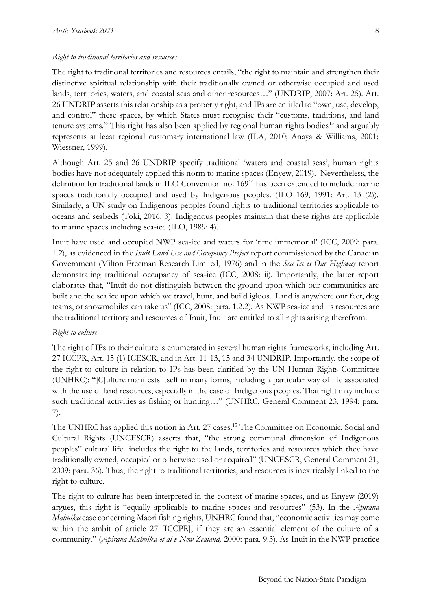#### *Right to traditional territories and resources*

The right to traditional territories and resources entails, "the right to maintain and strengthen their distinctive spiritual relationship with their traditionally owned or otherwise occupied and used lands, territories, waters, and coastal seas and other resources…" (UNDRIP, 2007: Art. 25). Art. 26 UNDRIP asserts this relationship as a property right, and IPs are entitled to "own, use, develop, and control" these spaces, by which States must recognise their "customs, traditions, and land tenure systems." This right has also been applied by regional human rights bodies<sup>13</sup> and arguably represents at least regional customary international law (ILA, 2010; Anaya & Williams, 2001; Wiessner, 1999).

Although Art. 25 and 26 UNDRIP specify traditional 'waters and coastal seas', human rights bodies have not adequately applied this norm to marine spaces (Enyew, 2019). Nevertheless, the definition for traditional lands in ILO Convention no. 169<sup>14</sup> has been extended to include marine spaces traditionally occupied and used by Indigenous peoples. (ILO 169, 1991: Art. 13 (2)). Similarly, a UN study on Indigenous peoples found rights to traditional territories applicable to oceans and seabeds (Toki, 2016: 3). Indigenous peoples maintain that these rights are applicable to marine spaces including sea-ice (ILO, 1989: 4).

Inuit have used and occupied NWP sea-ice and waters for 'time immemorial' (ICC, 2009: para. 1.2), as evidenced in the *Inuit Land Use and Occupancy Project* report commissioned by the Canadian Government (Milton Freeman Research Limited, 1976) and in the *Sea Ice is Our Highway* report demonstrating traditional occupancy of sea-ice (ICC, 2008: ii). Importantly, the latter report elaborates that, "Inuit do not distinguish between the ground upon which our communities are built and the sea ice upon which we travel, hunt, and build igloos...Land is anywhere our feet, dog teams, or snowmobiles can take us" (ICC, 2008: para. 1.2.2). As NWP sea-ice and its resources are the traditional territory and resources of Inuit, Inuit are entitled to all rights arising therefrom.

#### *Right to culture*

The right of IPs to their culture is enumerated in several human rights frameworks, including Art. 27 ICCPR, Art. 15 (1) ICESCR, and in Art. 11-13, 15 and 34 UNDRIP. Importantly, the scope of the right to culture in relation to IPs has been clarified by the UN Human Rights Committee (UNHRC): "[C]ulture manifests itself in many forms, including a particular way of life associated with the use of land resources, especially in the case of Indigenous peoples. That right may include such traditional activities as fishing or hunting…" (UNHRC, General Comment 23, 1994: para. 7).

The UNHRC has applied this notion in Art. 27 cases.<sup>15</sup> The Committee on Economic, Social and Cultural Rights (UNCESCR) asserts that, "the strong communal dimension of Indigenous peoples" cultural life...includes the right to the lands, territories and resources which they have traditionally owned, occupied or otherwise used or acquired" (UNCESCR, General Comment 21, 2009: para. 36). Thus, the right to traditional territories, and resources is inextricably linked to the right to culture.

The right to culture has been interpreted in the context of marine spaces, and as Enyew (2019) argues, this right is "equally applicable to marine spaces and resources" (53). In the *Apirana Mahuika* case concerning Maori fishing rights, UNHRC found that, "economic activities may come within the ambit of article 27 [ICCPR], if they are an essential element of the culture of a community." (*Apirana Mahuika et al v New Zealand,* 2000: para. 9.3). As Inuit in the NWP practice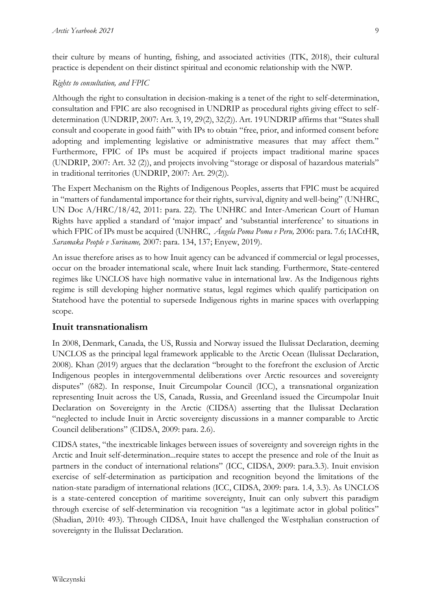their culture by means of hunting, fishing, and associated activities (ITK, 2018), their cultural practice is dependent on their distinct spiritual and economic relationship with the NWP.

### *Rights to consultation, and FPIC*

Although the right to consultation in decision-making is a tenet of the right to self-determination, consultation and FPIC are also recognised in UNDRIP as procedural rights giving effect to selfdetermination (UNDRIP, 2007: Art. 3, 19, 29(2), 32(2)). Art. 19UNDRIP affirms that "States shall consult and cooperate in good faith" with IPs to obtain "free, prior, and informed consent before adopting and implementing legislative or administrative measures that may affect them." Furthermore, FPIC of IPs must be acquired if projects impact traditional marine spaces (UNDRIP, 2007: Art. 32 (2)), and projects involving "storage or disposal of hazardous materials" in traditional territories (UNDRIP, 2007: Art. 29(2)).

The Expert Mechanism on the Rights of Indigenous Peoples, asserts that FPIC must be acquired in "matters of fundamental importance for their rights, survival, dignity and well-being" (UNHRC, UN Doc A/HRC/18/42, 2011: para. 22). The UNHRC and Inter-American Court of Human Rights have applied a standard of 'major impact' and 'substantial interference' to situations in which FPIC of IPs must be acquired (UNHRC, *Ángela Poma Poma v Peru,* 2006: para. 7.6; IACtHR, *Saramaka People v Suriname,* 2007: para. 134, 137; Enyew, 2019).

An issue therefore arises as to how Inuit agency can be advanced if commercial or legal processes, occur on the broader international scale, where Inuit lack standing. Furthermore, State-centered regimes like UNCLOS have high normative value in international law. As the Indigenous rights regime is still developing higher normative status, legal regimes which qualify participation on Statehood have the potential to supersede Indigenous rights in marine spaces with overlapping scope.

### **Inuit transnationalism**

In 2008, Denmark, Canada, the US, Russia and Norway issued the Ilulissat Declaration, deeming UNCLOS as the principal legal framework applicable to the Arctic Ocean (Ilulissat Declaration, 2008). Khan (2019) argues that the declaration "brought to the forefront the exclusion of Arctic Indigenous peoples in intergovernmental deliberations over Arctic resources and sovereignty disputes" (682). In response, Inuit Circumpolar Council (ICC), a transnational organization representing Inuit across the US, Canada, Russia, and Greenland issued the Circumpolar Inuit Declaration on Sovereignty in the Arctic (CIDSA) asserting that the Ilulissat Declaration "neglected to include Inuit in Arctic sovereignty discussions in a manner comparable to Arctic Council deliberations" (CIDSA, 2009: para. 2.6).

CIDSA states, "the inextricable linkages between issues of sovereignty and sovereign rights in the Arctic and Inuit self-determination...require states to accept the presence and role of the Inuit as partners in the conduct of international relations" (ICC, CIDSA, 2009: para.3.3). Inuit envision exercise of self-determination as participation and recognition beyond the limitations of the nation-state paradigm of international relations (ICC, CIDSA, 2009: para. 1.4, 3.3). As UNCLOS is a state-centered conception of maritime sovereignty, Inuit can only subvert this paradigm through exercise of self-determination via recognition "as a legitimate actor in global politics" (Shadian, 2010: 493). Through CIDSA, Inuit have challenged the Westphalian construction of sovereignty in the Ilulissat Declaration.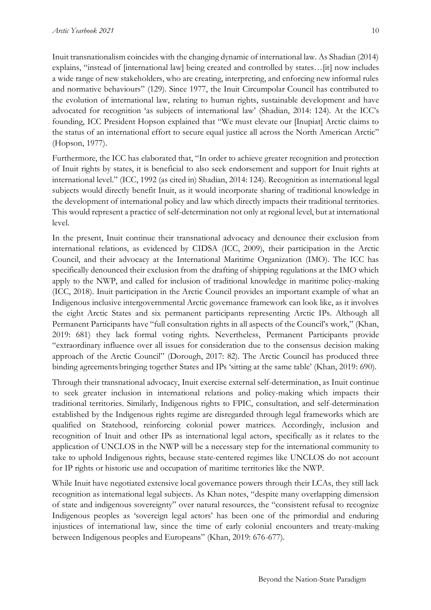Inuit transnationalism coincides with the changing dynamic of international law. As Shadian (2014) explains, "instead of [international law] being created and controlled by states…[it] now includes a wide range of new stakeholders, who are creating, interpreting, and enforcing new informal rules and normative behaviours" (129). Since 1977, the Inuit Circumpolar Council has contributed to the evolution of international law, relating to human rights, sustainable development and have advocated for recognition 'as subjects of international law' (Shadian, 2014: 124). At the ICC's founding, ICC President Hopson explained that "We must elevate our [Inupiat] Arctic claims to the status of an international effort to secure equal justice all across the North American Arctic" (Hopson, 1977).

Furthermore, the ICC has elaborated that, "In order to achieve greater recognition and protection of Inuit rights by states, it is beneficial to also seek endorsement and support for Inuit rights at international level." (ICC, 1992 (as cited in) Shadian, 2014: 124). Recognition as international legal subjects would directly benefit Inuit, as it would incorporate sharing of traditional knowledge in the development of international policy and law which directly impacts their traditional territories. This would represent a practice of self-determination not only at regional level, but at international level.

In the present, Inuit continue their transnational advocacy and denounce their exclusion from international relations, as evidenced by CIDSA (ICC, 2009), their participation in the Arctic Council, and their advocacy at the International Maritime Organization (IMO). The ICC has specifically denounced their exclusion from the drafting of shipping regulations at the IMO which apply to the NWP, and called for inclusion of traditional knowledge in maritime policy-making (ICC, 2018). Inuit participation in the Arctic Council provides an important example of what an Indigenous inclusive intergovernmental Arctic governance framework can look like, as it involves the eight Arctic States and six permanent participants representing Arctic IPs. Although all Permanent Participants have "full consultation rights in all aspects of the Council's work," (Khan, 2019: 681) they lack formal voting rights. Nevertheless, Permanent Participants provide "extraordinary influence over all issues for consideration due to the consensus decision making approach of the Arctic Council" (Dorough, 2017: 82). The Arctic Council has produced three binding agreements bringing together States and IPs 'sitting at the same table' (Khan, 2019: 690).

Through their transnational advocacy, Inuit exercise external self-determination, as Inuit continue to seek greater inclusion in international relations and policy-making which impacts their traditional territories. Similarly, Indigenous rights to FPIC, consultation, and self-determination established by the Indigenous rights regime are disregarded through legal frameworks which are qualified on Statehood, reinforcing colonial power matrices. Accordingly, inclusion and recognition of Inuit and other IPs as international legal actors, specifically as it relates to the application of UNCLOS in the NWP will be a necessary step for the international community to take to uphold Indigenous rights, because state-centered regimes like UNCLOS do not account for IP rights or historic use and occupation of maritime territories like the NWP.

While Inuit have negotiated extensive local governance powers through their LCAs, they still lack recognition as international legal subjects. As Khan notes, "despite many overlapping dimension of state and indigenous sovereignty" over natural resources, the "consistent refusal to recognize Indigenous peoples as 'sovereign legal actors' has been one of the primordial and enduring injustices of international law, since the time of early colonial encounters and treaty-making between Indigenous peoples and Europeans" (Khan, 2019: 676-677).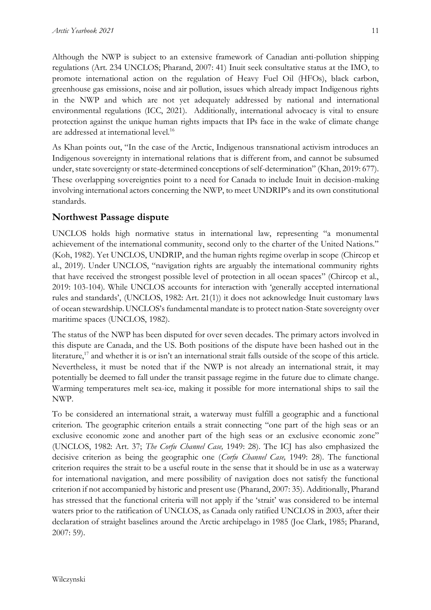Although the NWP is subject to an extensive framework of Canadian anti-pollution shipping regulations (Art. 234 UNCLOS; Pharand, 2007: 41) Inuit seek consultative status at the IMO, to promote international action on the regulation of Heavy Fuel Oil (HFOs), black carbon, greenhouse gas emissions, noise and air pollution, issues which already impact Indigenous rights in the NWP and which are not yet adequately addressed by national and international environmental regulations (ICC, 2021). Additionally, international advocacy is vital to ensure protection against the unique human rights impacts that IPs face in the wake of climate change are addressed at international level. 16

As Khan points out, "In the case of the Arctic, Indigenous transnational activism introduces an Indigenous sovereignty in international relations that is different from, and cannot be subsumed under, state sovereignty or state-determined conceptions of self-determination" (Khan, 2019: 677). These overlapping sovereignties point to a need for Canada to include Inuit in decision-making involving international actors concerning the NWP, to meet UNDRIP's and its own constitutional standards.

# **Northwest Passage dispute**

UNCLOS holds high normative status in international law, representing "a monumental achievement of the international community, second only to the charter of the United Nations." (Koh, 1982). Yet UNCLOS, UNDRIP, and the human rights regime overlap in scope (Chircop et al., 2019). Under UNCLOS, "navigation rights are arguably the international community rights that have received the strongest possible level of protection in all ocean spaces" (Chircop et al., 2019: 103-104). While UNCLOS accounts for interaction with 'generally accepted international rules and standards', (UNCLOS, 1982: Art. 21(1)) it does not acknowledge Inuit customary laws of ocean stewardship.UNCLOS's fundamental mandate is to protect nation-State sovereignty over maritime spaces (UNCLOS, 1982).

The status of the NWP has been disputed for over seven decades. The primary actors involved in this dispute are Canada, and the US. Both positions of the dispute have been hashed out in the literature,<sup>17</sup> and whether it is or isn't an international strait falls outside of the scope of this article. Nevertheless, it must be noted that if the NWP is not already an international strait, it may potentially be deemed to fall under the transit passage regime in the future due to climate change. Warming temperatures melt sea-ice, making it possible for more international ships to sail the NWP.

To be considered an international strait, a waterway must fulfill a geographic and a functional criterion. The geographic criterion entails a strait connecting "one part of the high seas or an exclusive economic zone and another part of the high seas or an exclusive economic zone" (UNCLOS, 1982: Art. 37; *The Corfu Channel Case,* 1949: 28). The ICJ has also emphasized the decisive criterion as being the geographic one (*Corfu Channel Case,* 1949: 28). The functional criterion requires the strait to be a useful route in the sense that it should be in use as a waterway for international navigation, and mere possibility of navigation does not satisfy the functional criterion if not accompanied by historic and present use (Pharand, 2007: 35). Additionally, Pharand has stressed that the functional criteria will not apply if the 'strait' was considered to be internal waters prior to the ratification of UNCLOS, as Canada only ratified UNCLOS in 2003, after their declaration of straight baselines around the Arctic archipelago in 1985 (Joe Clark, 1985; Pharand, 2007: 59).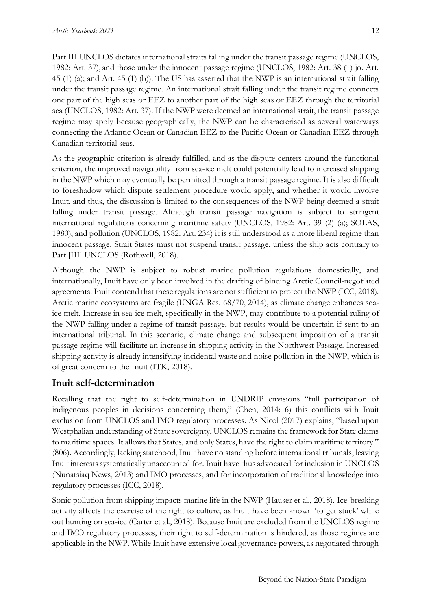Part III UNCLOS dictates international straits falling under the transit passage regime (UNCLOS, 1982: Art. 37), and those under the innocent passage regime (UNCLOS, 1982: Art. 38 (1) jo. Art. 45 (1) (a); and Art. 45 (1) (b)). The US has asserted that the NWP is an international strait falling under the transit passage regime. An international strait falling under the transit regime connects one part of the high seas or EEZ to another part of the high seas or EEZ through the territorial sea (UNCLOS, 1982: Art. 37). If the NWP were deemed an international strait, the transit passage regime may apply because geographically, the NWP can be characterised as several waterways connecting the Atlantic Ocean or Canadian EEZ to the Pacific Ocean or Canadian EEZ through Canadian territorial seas.

As the geographic criterion is already fulfilled, and as the dispute centers around the functional criterion, the improved navigability from sea-ice melt could potentially lead to increased shipping in the NWP which may eventually be permitted through a transit passage regime. It is also difficult to foreshadow which dispute settlement procedure would apply, and whether it would involve Inuit, and thus, the discussion is limited to the consequences of the NWP being deemed a strait falling under transit passage. Although transit passage navigation is subject to stringent international regulations concerning maritime safety (UNCLOS, 1982: Art. 39 (2) (a); SOLAS, 1980), and pollution (UNCLOS, 1982: Art. 234) it is still understood as a more liberal regime than innocent passage. Strait States must not suspend transit passage, unless the ship acts contrary to Part [III] UNCLOS (Rothwell, 2018).

Although the NWP is subject to robust marine pollution regulations domestically, and internationally, Inuit have only been involved in the drafting of binding Arctic Council-negotiated agreements. Inuit contend that these regulations are not sufficient to protect the NWP (ICC, 2018). Arctic marine ecosystems are fragile (UNGA Res. 68/70, 2014), as climate change enhances seaice melt. Increase in sea-ice melt, specifically in the NWP, may contribute to a potential ruling of the NWP falling under a regime of transit passage, but results would be uncertain if sent to an international tribunal. In this scenario, climate change and subsequent imposition of a transit passage regime will facilitate an increase in shipping activity in the Northwest Passage. Increased shipping activity is already intensifying incidental waste and noise pollution in the NWP, which is of great concern to the Inuit (ITK, 2018).

# **Inuit self-determination**

Recalling that the right to self-determination in UNDRIP envisions "full participation of indigenous peoples in decisions concerning them," (Chen, 2014: 6) this conflicts with Inuit exclusion from UNCLOS and IMO regulatory processes. As Nicol (2017) explains, "based upon Westphalian understanding of State sovereignty, UNCLOS remains the framework for State claims to maritime spaces. It allows that States, and only States, have the right to claim maritime territory." (806). Accordingly, lacking statehood, Inuit have no standing before international tribunals, leaving Inuit interests systematically unaccounted for. Inuit have thus advocated for inclusion in UNCLOS (Nunatsiaq News, 2013) and IMO processes, and for incorporation of traditional knowledge into regulatory processes (ICC, 2018).

Sonic pollution from shipping impacts marine life in the NWP (Hauser et al., 2018). Ice-breaking activity affects the exercise of the right to culture, as Inuit have been known 'to get stuck' while out hunting on sea-ice (Carter et al., 2018). Because Inuit are excluded from the UNCLOS regime and IMO regulatory processes, their right to self-determination is hindered, as those regimes are applicable in the NWP. While Inuit have extensive local governance powers, as negotiated through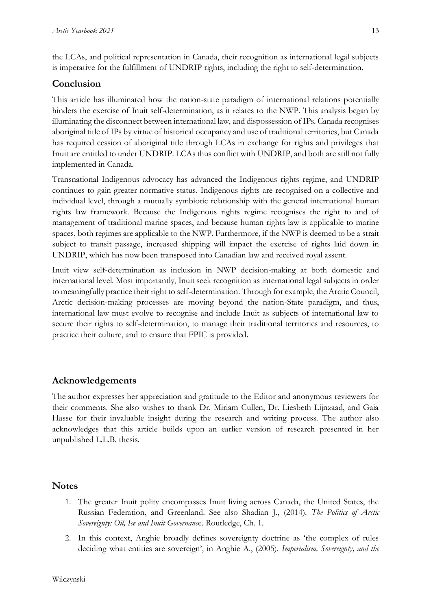the LCAs, and political representation in Canada, their recognition as international legal subjects is imperative for the fulfillment of UNDRIP rights, including the right to self-determination.

# **Conclusion**

This article has illuminated how the nation-state paradigm of international relations potentially hinders the exercise of Inuit self-determination, as it relates to the NWP. This analysis began by illuminating the disconnect between international law, and dispossession of IPs. Canada recognises aboriginal title of IPs by virtue of historical occupancy and use of traditional territories, but Canada has required cession of aboriginal title through LCAs in exchange for rights and privileges that Inuit are entitled to under UNDRIP. LCAs thus conflict with UNDRIP, and both are still not fully implemented in Canada.

Transnational Indigenous advocacy has advanced the Indigenous rights regime, and UNDRIP continues to gain greater normative status. Indigenous rights are recognised on a collective and individual level, through a mutually symbiotic relationship with the general international human rights law framework. Because the Indigenous rights regime recognises the right to and of management of traditional marine spaces, and because human rights law is applicable to marine spaces, both regimes are applicable to the NWP. Furthermore, if the NWP is deemed to be a strait subject to transit passage, increased shipping will impact the exercise of rights laid down in UNDRIP, which has now been transposed into Canadian law and received royal assent.

Inuit view self-determination as inclusion in NWP decision-making at both domestic and international level. Most importantly, Inuit seek recognition as international legal subjects in order to meaningfully practice their right to self-determination. Through for example, the Arctic Council, Arctic decision-making processes are moving beyond the nation-State paradigm, and thus, international law must evolve to recognise and include Inuit as subjects of international law to secure their rights to self-determination, to manage their traditional territories and resources, to practice their culture, and to ensure that FPIC is provided.

# **Acknowledgements**

The author expresses her appreciation and gratitude to the Editor and anonymous reviewers for their comments. She also wishes to thank Dr. Miriam Cullen, Dr. Liesbeth Lijnzaad, and Gaia Hasse for their invaluable insight during the research and writing process. The author also acknowledges that this article builds upon an earlier version of research presented in her unpublished L.L.B. thesis.

### **Notes**

- 1. The greater Inuit polity encompasses Inuit living across Canada, the United States, the Russian Federation, and Greenland. See also Shadian J., (2014). *The Politics of Arctic Sovereignty: Oil, Ice and Inuit Governanc*e. Routledge, Ch. 1.
- 2. In this context, Anghie broadly defines sovereignty doctrine as 'the complex of rules deciding what entities are sovereign', in Anghie A., (2005). *Imperialism, Sovereignty, and the*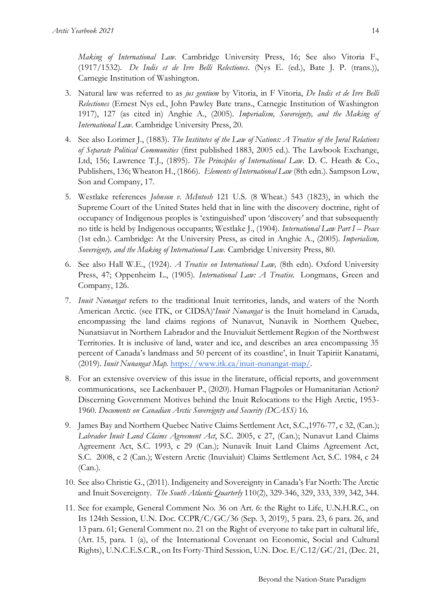*Making of International Law.* Cambridge University Press, 16; See also Vitoria F., (1917/1532). *De Indis et de Ivre Belli Relectiones*. (Nys E. (ed.), Bate J. P. (trans.)), Carnegie Institution of Washington.

- 3. Natural law was referred to as *jus gentium* by Vitoria, in F Vitoria, *De Indis et de Ivre Belli Relectiones* (Ernest Nys ed., John Pawley Bate trans., Carnegie Institution of Washington 1917), 127 (as cited in) Anghie A., (2005). *Imperialism, Sovereignty, and the Making of International Law.* Cambridge University Press, 20.
- 4. See also Lorimer J., (1883). *The Institutes of the Law of Nations: A Treatise of the Jural Relations of Separate Political Communities* (first published 1883, 2005 ed.). The Lawbook Exchange, Ltd, 156; Lawrence T.J., (1895). *The Principles of International Law.* D. C. Heath & Co., Publishers, 136; Wheaton H., (1866). *Elements of International Law* (8th edn.). Sampson Low, Son and Company, 17.
- 5. Westlake references *Johnson v. McIntosh* 121 U.S. (8 Wheat.) 543 (1823), in which the Supreme Court of the United States held that in line with the discovery doctrine, right of occupancy of Indigenous peoples is 'extinguished' upon 'discovery' and that subsequently no title is held by Indigenous occupants; Westlake J., (1904). *International Law Part I – Peace* (1st edn.). Cambridge: At the University Press, as cited in Anghie A., (2005). *Imperialism, Sovereignty, and the Making of International Law.* Cambridge University Press, 80.
- 6. See also Hall W.E., (1924). *A Treatise on International Law,* (8th edn). Oxford University Press, 47; Oppenheim L., (1905). *International Law: A Treatise.* Longmans, Green and Company, 126.
- 7. *Inuit Nunangat* refers to the traditional Inuit territories, lands, and waters of the North American Arctic. (see ITK, or CIDSA)'*Inuit Nunangat* is the Inuit homeland in Canada, encompassing the land claims regions of Nunavut, Nunavik in Northern Quebec, Nunatsiavut in Northern Labrador and the Inuvialuit Settlement Region of the Northwest Territories. It is inclusive of land, water and ice, and describes an area encompassing 35 percent of Canada's landmass and 50 percent of its coastline', in Inuit Tapiriit Kanatami, (2019). *Inuit Nunangat Map.* [https://www.itk.ca/inuit-nunangat-map/.](https://www.itk.ca/inuit-nunangat-map/)
- 8. For an extensive overview of this issue in the literature, official reports, and government communications, see Lackenbauer P., (2020). Human Flagpoles or Humanitarian Action? Discerning Government Motives behind the Inuit Relocations to the High Arctic, 1953- 1960. *Documents on Canadian Arctic Sovereignty and Security (DCASS)* 16.
- 9. James Bay and Northern Quebec Native Claims Settlement Act, S.C.,1976-77, c 32, (Can.); *Labrador Inuit Land Claims Agreement Act*, S.C. 2005, c 27, (Can.); Nunavut Land Claims Agreement Act, S.C. 1993, c 29 (Can.); Nunavik Inuit Land Claims Agreement Act, S.C. 2008, c 2 (Can.); Western Arctic (Inuvialuit) Claims Settlement Act*,* S.C. 1984, c 24 (Can.).
- 10. See also Christie G., (2011). Indigeneity and Sovereignty in Canada's Far North: The Arctic and Inuit Sovereignty. *The South Atlantic Quarterly* 110(2), 329-346, 329, 333, 339, 342, 344.
- 11. See for example, General Comment No. 36 on Art. 6: the Right to Life, U.N.H.R.C., on Its 124th Session, U.N. Doc. CCPR/C/GC/36 (Sep. 3, 2019), 5 para. 23, 6 para. 26, and 13 para. 61; General Comment no. 21 on the Right of everyone to take part in cultural life, (Art. 15, para. 1 (a), of the International Covenant on Economic, Social and Cultural Rights), U.N.C.E.S.C.R., on Its Forty-Third Session, U.N. Doc. E/C.12/GC/21, (Dec. 21,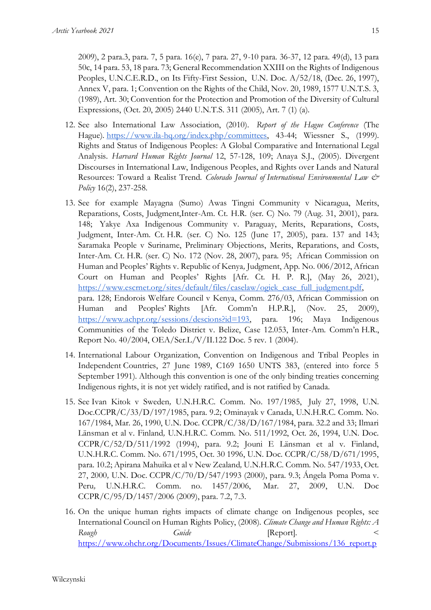2009), 2 para.3, para. 7, 5 para. 16(e), 7 para. 27, 9-10 para. 36-37, 12 para. 49(d), 13 para 50c, 14 para. 53, 18 para. 73; General Recommendation XXIII on the Rights of Indigenous Peoples, U.N.C.E.R.D., on Its Fifty-First Session, U.N. Doc. A/52/18, (Dec. 26, 1997), Annex V, para. 1; Convention on the Rights of the Child, Nov. 20, 1989, 1577 U.N.T.S. 3, (1989), Art. 30; Convention for the Protection and Promotion of the Diversity of Cultural Expressions, (Oct. 20, 2005) 2440 U.N.T.S. 311 (2005), Art. 7 (1) (a).

- 12. See also International Law Association, (2010). *Report of the Hague Conference* (The Hague). [https://www.ila-hq.org/index.php/committees,](https://www.ila-hq.org/index.php/committees) 43-44; Wiessner S., (1999). Rights and Status of Indigenous Peoples: A Global Comparative and International Legal Analysis. *Harvard Human Rights Journal* 12, 57-128, 109; Anaya S.J., (2005). Divergent Discourses in International Law, Indigenous Peoples, and Rights over Lands and Natural Resources: Toward a Realist Trend. *Colorado Journal of International Environmental Law & Policy* 16(2), 237-258.
- 13. See for example Mayagna (Sumo) Awas Tingni Community v Nicaragua, Merits, Reparations, Costs, Judgment,Inter-Am. Ct. H.R. (ser. C) No. 79 (Aug. 31, 2001), para. 148; Yakye Axa Indigenous Community v. Paraguay, Merits, Reparations, Costs, Judgment, Inter-Am. Ct. H.R. (ser. C) No. 125 (June 17, 2005), para. 137 and 143; Saramaka People v Suriname, Preliminary Objections, Merits, Reparations, and Costs, Inter-Am. Ct. H.R. (ser. C) No. 172 (Nov. 28, 2007), para. 95; African Commission on Human and Peoples' Rights v. Republic of Kenya*,* Judgment, App. No. 006/2012, African Court on Human and Peoples' Rights [Afr. Ct. H. P. R.], (May 26, 2021), [https://www.escrnet.org/sites/default/files/caselaw/ogiek\\_case\\_full\\_judgment.pdf,](https://www.escr-net.org/sites/default/files/caselaw/ogiek_case_full_judgment.pdf) para. 128; Endorois Welfare Council v Kenya, Comm. 276/03, African Commission on Human and Peoples' Rights [Afr. Comm'n H.P.R.], (Nov. 25, 2009), [https://www.achpr.org/sessions/descions?id=193,](https://www.achpr.org/sessions/descions?id=193) para. 196; Maya Indigenous Communities of the Toledo District v. Belize, Case 12.053, Inter-Am. Comm'n H.R., Report No. 40/2004, OEA/Ser.L/V/II.122 Doc. 5 rev. 1 (2004).
- 14. International Labour Organization, Convention on Indigenous and Tribal Peoples in Independent Countries, 27 June 1989, C169 1650 UNTS 383, (entered into force 5 September 1991). Although this convention is one of the only binding treaties concerning Indigenous rights, it is not yet widely ratified, and is not ratified by Canada.
- 15. See Ivan Kitok v Sweden*,* U.N.H.R.C. Comm. No. 197/1985, July 27, 1998, U.N. Doc.CCPR/C/33/D/197/1985, para. 9.2; Ominayak v Canada, U.N.H.R.C. Comm. No. 167/1984, Mar. 26, 1990, U.N. Doc. CCPR/C/38/D/167/1984, para. 32.2 and 33; Ilmari Länsman et al v. Finland*,* U.N.H.R.C. Comm. No. 511/1992, Oct. 26, 1994, U.N. Doc. CCPR/C/52/D/511/1992 (1994), para. 9.2; Jouni E Länsman et al v. Finland, U.N.H.R.C. Comm. No. 671/1995, Oct. 30 1996, U.N. Doc. CCPR/C/58/D/671/1995, para. 10.2; Apirana Mahuika et al v New Zealand*,* U.N.H.R.C. Comm. No. 547/1933, Oct. 27, 2000*,* U.N. Doc. CCPR/C/70/D/547/1993 (2000), para. 9.3; Ángela Poma Poma v. Peru*,* U.N.H.R.C. Comm. no. 1457/2006, Mar. 27, 2009, U.N. Doc CCPR/C/95/D/1457/2006 (2009), para. 7.2, 7.3.
- 16. On the unique human rights impacts of climate change on Indigenous peoples, see International Council on Human Rights Policy, (2008). *Climate Change and Human Rights: A*  Rough Guide Guide **Report**. [https://www.ohchr.org/Documents/Issues/ClimateChange/Submissions/136\\_report.p](https://www.ohchr.org/Documents/Issues/ClimateChange/Submissions/136_report.pdf)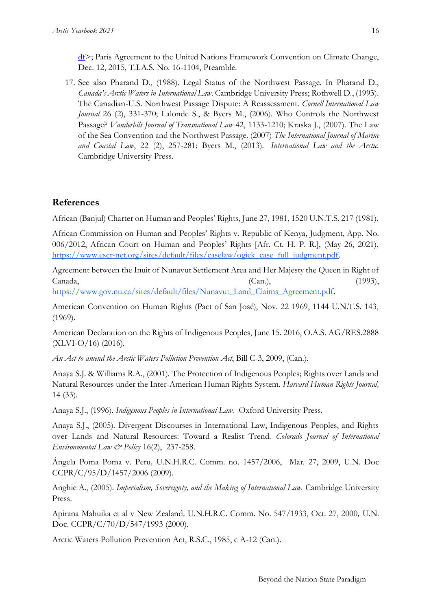$df$ ; Paris Agreement to the United Nations Framework Convention on Climate Change, Dec. 12, 2015, T.I.A.S. No. 16-1104, Preamble.

17. See also Pharand D., (1988). Legal Status of the Northwest Passage. In Pharand D., *Canada's Arctic Waters in International Law*. Cambridge University Press; Rothwell D., (1993). The Canadian-U.S. Northwest Passage Dispute: A Reassessment. *Cornell International Law Journal* 26 (2), 331-370; Lalonde S., & Byers M., (2006). Who Controls the Northwest Passage? *Vanderbilt Journal of Transnational Law* 42, 1133-1210; Kraska J., (2007). The Law of the Sea Convention and the Northwest Passage. (2007) *The International Journal of Marine and Coastal Law*, 22 (2), 257-281; Byers M., (2013). *International Law and the Arctic.*  Cambridge University Press.

# **References**

African (Banjul) Charter on Human and Peoples' Rights, June 27, 1981, 1520 U.N.T.S. 217 (1981).

African Commission on Human and Peoples' Rights v. Republic of Kenya*,* Judgment, App. No. 006/2012, African Court on Human and Peoples' Rights [Afr. Ct. H. P. R.], (May 26, 2021), [https://www.escr-net.org/sites/default/files/caselaw/ogiek\\_case\\_full\\_judgment.pdf.](https://www.escr-net.org/sites/default/files/caselaw/ogiek_case_full_judgment.pdf)

Agreement between the Inuit of Nunavut Settlement Area and Her Majesty the Queen in Right of  $Canada,$   $(Can.),$   $(1993),$ 

[https://www.gov.nu.ca/sites/default/files/Nunavut\\_Land\\_Claims\\_Agreement.pdf.](https://www.gov.nu.ca/sites/default/files/Nunavut_Land_Claims_Agreement.pdf)

American Convention on Human Rights (Pact of San José), Nov. 22 1969, 1144 U.N.T.S. 143, (1969).

American Declaration on the Rights of Indigenous Peoples, June 15. 2016, O.A.S. AG/RES.2888  $(XLVI-O/16)$  (2016).

*An Act to amend the Arctic Waters Pollution Prevention Act*, Bill C-3, 2009, (Can.).

Anaya S.J. & Williams R.A., (2001). The Protection of Indigenous Peoples; Rights over Lands and Natural Resources under the Inter-American Human Rights System. *Harvard Human Rights Journal,*  14 (33).

Anaya S.J., (1996). *Indigenous Peoples in International Law.* Oxford University Press.

Anaya S.J., (2005). Divergent Discourses in International Law, Indigenous Peoples, and Rights over Lands and Natural Resources: Toward a Realist Trend. *Colorado Journal of International Environmental Law & Policy* 16(2), 237-258.

Ángela Poma Poma v. Peru*,* U.N.H.R.C. Comm. no. 1457/2006, Mar. 27, 2009, U.N. Doc CCPR/C/95/D/1457/2006 (2009).

Anghie A., (2005). *Imperialism, Sovereignty, and the Making of International Law.* Cambridge University Press.

Apirana Mahuika et al v New Zealand*,* U.N.H.R.C. Comm. No. 547/1933, Oct. 27, 2000*,* U.N. Doc. CCPR/C/70/D/547/1993 (2000).

Arctic Waters Pollution Prevention Act, R.S.C., 1985, c A-12 (Can.).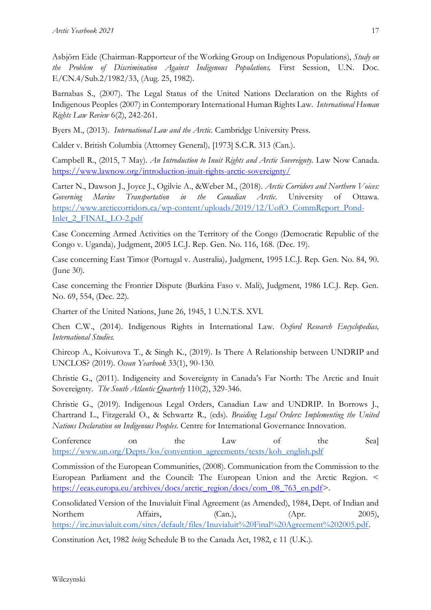Asbjörn Eide (Chairman-Rapporteur of the Working Group on Indigenous Populations), *Study on the Problem of Discrimination Against Indigenous Populations,* First Session, U.N. Doc. E/CN.4/Sub.2/1982/33, (Aug. 25, 1982).

Barnabas S., (2007). The Legal Status of the United Nations Declaration on the Rights of Indigenous Peoples (2007) in Contemporary International Human Rights Law. *International Human Rights Law Review* 6(2), 242-261.

Byers M., (2013). *International Law and the Arctic.* Cambridge University Press.

Calder v. British Columbia (Attorney General)*,* [1973] S.C.R. 313 (Can.).

Campbell R., (2015, 7 May). *An Introduction to Inuit Rights and Arctic Sovereignty*. Law Now Canada. <https://www.lawnow.org/introduction-inuit-rights-arctic-sovereignty/>

Carter N., Dawson J., Joyce J., Ogilvie A., &Weber M., (2018). *Arctic Corridors and Northern Voices: Governing Marine Transportation in the Canadian Arctic*. University of Ottawa. [https://www.arcticcorridors.ca/wp-content/uploads/2019/12/UofO\\_CommReport\\_Pond-](https://www.arcticcorridors.ca/wp-content/uploads/2019/12/UofO_CommReport_Pond-Inlet_2_FINAL_LO-2.pdf)Inlet 2 FINAL LO-2.pdf

Case Concerning Armed Activities on the Territory of the Congo (Democratic Republic of the Congo v. Uganda)*,* Judgment, 2005 I.C.J. Rep. Gen. No. 116, 168. (Dec. 19).

Case concerning East Timor (Portugal v. Australia)*,* Judgment, 1995 I.C.J. Rep. Gen. No. 84, 90. (June 30).

Case concerning the Frontier Dispute (Burkina Faso v. Mali), Judgment, 1986 I.C.J. Rep. Gen. No. 69, 554, (Dec. 22).

Charter of the United Nations, June 26, 1945, 1 U.N.T.S. XVI.

Chen C.W., (2014). Indigenous Rights in International Law. *Oxford Research Encyclopedias, International Studies.*

Chircop A., Koivurova T., & Singh K., (2019). Is There A Relationship between UNDRIP and UNCLOS? (2019). *Ocean Yearbook* 33(1), 90-130.

Christie G., (2011). Indigeneity and Sovereignty in Canada's Far North: The Arctic and Inuit Sovereignty. *The South Atlantic Quarterly* 110(2), 329-346.

Christie G., (2019). Indigenous Legal Orders, Canadian Law and UNDRIP. In Borrows J., Chartrand L., Fitzgerald O., & Schwartz R., (eds). *Braiding Legal Orders: Implementing the United Nations Declaration on Indigenous Peoples*. Centre for International Governance Innovation.

Conference on the Law of the Sea] [https://www.un.org/Depts/los/convention\\_agreements/texts/koh\\_english.pdf](https://www.un.org/Depts/los/convention_agreements/texts/koh_english.pdf)

Commission of the European Communities, (2008). Communication from the Commission to the European Parliament and the Council: The European Union and the Arctic Region. < [https://eeas.europa.eu/archives/docs/arctic\\_region/docs/com\\_08\\_763\\_en.pdf>](https://eeas.europa.eu/archives/docs/arctic_region/docs/com_08_763_en.pdf).

Consolidated Version of the Inuvialuit Final Agreement (as Amended), 1984, Dept. of Indian and Northern Affairs, (Can.), (Apr. 2005), [https://irc.inuvialuit.com/sites/default/files/Inuvialuit%20Final%20Agreement%202005.pdf.](https://irc.inuvialuit.com/sites/default/files/Inuvialuit%20Final%20Agreement%202005.pdf)

Constitution Act, 1982 *being* Schedule B to the Canada Act, 1982, c 11 (U.K.).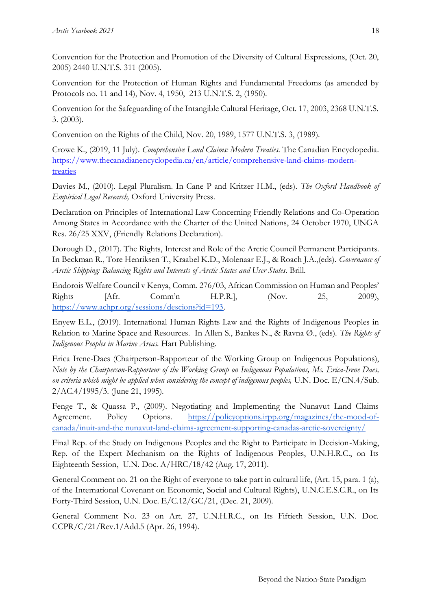Convention for the Protection and Promotion of the Diversity of Cultural Expressions, (Oct. 20, 2005) 2440 U.N.T.S. 311 (2005).

Convention for the Protection of Human Rights and Fundamental Freedoms (as amended by Protocols no. 11 and 14), Nov. 4, 1950, 213 U.N.T.S. 2, (1950).

Convention for the Safeguarding of the Intangible Cultural Heritage, Oct. 17, 2003, 2368 U.N.T.S. 3. (2003).

Convention on the Rights of the Child, Nov. 20, 1989, 1577 U.N.T.S. 3, (1989).

Crowe K., (2019, 11 July). *Comprehensive Land Claims: Modern Treaties*. The Canadian Encyclopedia. [https://www.thecanadianencyclopedia.ca/en/article/comprehensive-land-claims-modern](https://www.thecanadianencyclopedia.ca/en/article/comprehensive-land-claims-modern-treaties)[treaties](https://www.thecanadianencyclopedia.ca/en/article/comprehensive-land-claims-modern-treaties)

Davies M., (2010). Legal Pluralism. In Cane P and Kritzer H.M., (eds). *The Oxford Handbook of Empirical Legal Research,* Oxford University Press.

Declaration on Principles of International Law Concerning Friendly Relations and Co-Operation Among States in Accordance with the Charter of the United Nations, 24 October 1970, UNGA Res. 26/25 XXV, (Friendly Relations Declaration).

Dorough D., (2017). The Rights, Interest and Role of the Arctic Council Permanent Participants. In Beckman R., Tore Henriksen T., Kraabel K.D., Molenaar E.J., & Roach J.A.,(eds). *Governance of Arctic Shipping: Balancing Rights and Interests of Arctic States and User States*. Brill.

Endorois Welfare Council v Kenya, Comm. 276/03, African Commission on Human and Peoples' Rights [Afr. Comm'n H.P.R.], (Nov. 25, 2009), [https://www.achpr.org/sessions/descions?id=193.](https://www.achpr.org/sessions/descions?id=193)

Enyew E.L., (2019). International Human Rights Law and the Rights of Indigenous Peoples in Relation to Marine Space and Resources. In Allen S., Bankes N., & Ravna Ø., (eds). *The Rights of Indigenous Peoples in Marine Areas.* Hart Publishing.

Erica Irene-Daes (Chairperson-Rapporteur of the Working Group on Indigenous Populations), *Note by the Chairperson-Rapporteur of the Working Group on Indigenous Populations, Ms. Erica-Irene Daes, on criteria which might be applied when considering the concept of indigenous peoples,* U.N. Doc. E/CN.4/Sub. 2/AC.4/1995/3. (June 21, 1995).

Fenge T., & Quassa P., (2009). Negotiating and Implementing the Nunavut Land Claims Agreement. Policy Options. [https://policyoptions.irpp.org/magazines/the-mood-of](https://policyoptions.irpp.org/magazines/the-mood-of-canada/inuit-and-the-nunavut-land-claims-agreement-supporting-canadas-arctic-sovereignty/)[canada/inuit-and-the nunavut-land-claims-agreement-supporting-canadas-arctic-sovereignty/](https://policyoptions.irpp.org/magazines/the-mood-of-canada/inuit-and-the-nunavut-land-claims-agreement-supporting-canadas-arctic-sovereignty/)

Final Rep. of the Study on Indigenous Peoples and the Right to Participate in Decision-Making, Rep. of the Expert Mechanism on the Rights of Indigenous Peoples, U.N.H.R.C., on Its Eighteenth Session, U.N. Doc. A/HRC/18/42 (Aug. 17, 2011).

General Comment no. 21 on the Right of everyone to take part in cultural life, (Art. 15, para. 1 (a), of the International Covenant on Economic, Social and Cultural Rights), U.N.C.E.S.C.R., on Its Forty-Third Session, U.N. Doc. E/C.12/GC/21, (Dec. 21, 2009).

General Comment No. 23 on Art. 27, U.N.H.R.C., on Its Fiftieth Session, U.N. Doc. CCPR/C/21/Rev.1/Add.5 (Apr. 26, 1994).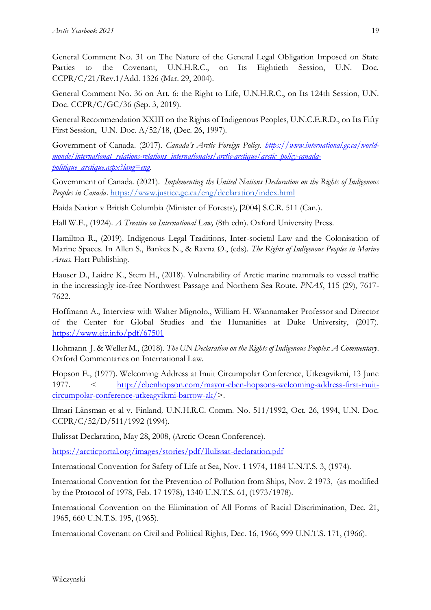General Comment No. 31 on The Nature of the General Legal Obligation Imposed on State Parties to the Covenant, U.N.H.R.C., on Its Eightieth Session, U.N. Doc. CCPR/C/21/Rev.1/Add. 1326 (Mar. 29, 2004).

General Comment No. 36 on Art. 6: the Right to Life, U.N.H.R.C., on Its 124th Session, U.N. Doc. CCPR/C/GC/36 (Sep. 3, 2019).

General Recommendation XXIII on the Rights of Indigenous Peoples, U.N.C.E.R.D., on Its Fifty First Session, U.N. Doc. A/52/18, (Dec. 26, 1997).

Government of Canada. (2017). *Canada's Arctic Foreign Policy. [https://www.international.gc.ca/world](https://www.international.gc.ca/world-monde/international_relations-relations_internationales/arctic-arctique/arctic_policy-canada-politique_arctique.aspx?lang=eng)[monde/international\\_relations-relations\\_internationales/arctic-arctique/arctic\\_policy-canada](https://www.international.gc.ca/world-monde/international_relations-relations_internationales/arctic-arctique/arctic_policy-canada-politique_arctique.aspx?lang=eng)[politique\\_arctique.aspx?lang=eng.](https://www.international.gc.ca/world-monde/international_relations-relations_internationales/arctic-arctique/arctic_policy-canada-politique_arctique.aspx?lang=eng)*

Government of Canada. (2021). *Implementing the United Nations Declaration on the Rights of Indigenous Peoples in Canada*.<https://www.justice.gc.ca/eng/declaration/index.html>

Haida Nation v British Columbia (Minister of Forests)*,* [2004] S.C.R. 511 (Can.).

Hall W.E., (1924). *A Treatise on International Law,* (8th edn). Oxford University Press.

Hamilton R., (2019). Indigenous Legal Traditions, Inter-societal Law and the Colonisation of Marine Spaces. In Allen S., Bankes N., & Ravna Ø., (eds). *The Rights of Indigenous Peoples in Marine Areas.* Hart Publishing.

Hauser D., Laidre K., Stern H., (2018). Vulnerability of Arctic marine mammals to vessel traffic in the increasingly ice-free Northwest Passage and Northern Sea Route. *PNAS*, 115 (29), 7617- 7622.

Hoffmann A., Interview with Walter Mignolo., William H. Wannamaker Professor and Director of the Center for Global Studies and the Humanities at Duke University, (2017). <https://www.eir.info/pdf/67501>

Hohmann J. & Weller M., (2018). *The UN Declaration on the Rights of Indigenous Peoples: A Commentary*. Oxford Commentaries on International Law.

Hopson E., (1977). Welcoming Address at Inuit Circumpolar Conference, Utkeagvikmi, 13 June 1977. < [http://ebenhopson.com/mayor-eben-hopsons-welcoming-address-first-inuit](http://ebenhopson.com/mayor-eben-hopsons-welcoming-address-first-inuit-circumpolar-conference-utkeagvikmi-barrow-ak/)[circumpolar-conference-utkeagvikmi-barrow-ak/>](http://ebenhopson.com/mayor-eben-hopsons-welcoming-address-first-inuit-circumpolar-conference-utkeagvikmi-barrow-ak/).

Ilmari Länsman et al v. Finland*,* U.N.H.R.C. Comm. No. 511/1992, Oct. 26, 1994, U.N. Doc. CCPR/C/52/D/511/1992 (1994).

Ilulissat Declaration, May 28, 2008, (Arctic Ocean Conference).

<https://arcticportal.org/images/stories/pdf/Ilulissat-declaration.pdf>

International Convention for Safety of Life at Sea, Nov. 1 1974, 1184 U.N.T.S. 3, (1974).

International Convention for the Prevention of Pollution from Ships, Nov. 2 1973, (as modified by the Protocol of 1978, Feb. 17 1978), 1340 U.N.T.S. 61, (1973/1978).

International Convention on the Elimination of All Forms of Racial Discrimination, Dec. 21, 1965, 660 U.N.T.S. 195, (1965).

International Covenant on Civil and Political Rights, Dec. 16, 1966, 999 U.N.T.S. 171, (1966).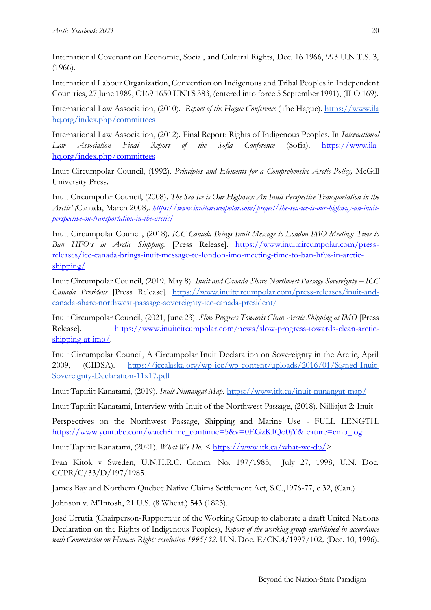International Covenant on Economic, Social, and Cultural Rights, Dec. 16 1966, 993 U.N.T.S. 3, (1966).

International Labour Organization, Convention on Indigenous and Tribal Peoples in Independent Countries, 27 June 1989, C169 1650 UNTS 383, (entered into force 5 September 1991), (ILO 169).

International Law Association, (2010). *Report of the Hague Conference* (The Hague). [https://www.ila](https://www.ila-hq.org/index.php/committees)  [hq.org/index.php/committees](https://www.ila-hq.org/index.php/committees)

International Law Association, (2012). Final Report: Rights of Indigenous Peoples. In *International Law Association Final Report of the Sofia Conference* (Sofia). [https://www.ila](https://www.ila-hq.org/index.php/committees)[hq.org/index.php/committees](https://www.ila-hq.org/index.php/committees)

Inuit Circumpolar Council, (1992). *Principles and Elements for a Comprehensive Arctic Policy,* McGill University Press.

Inuit Circumpolar Council, (2008). *The Sea Ice is Our Highway: An Inuit Perspective Transportation in the Arctic' (*Canada, March 2008*). [https://www.inuitcircumpolar.com/project/the-sea-ice-is-our-highway-an-inuit](https://www.inuitcircumpolar.com/project/the-sea-ice-is-our-highway-an-inuit-perspective-on-transportation-in-the-arctic/)[perspective-on-transportation-in-the-arctic/](https://www.inuitcircumpolar.com/project/the-sea-ice-is-our-highway-an-inuit-perspective-on-transportation-in-the-arctic/)*

Inuit Circumpolar Council, (2018). *ICC Canada Brings Inuit Message to London IMO Meeting: Time to Ban HFO's in Arctic Shipping.* [Press Release]. [https://www.inuitcircumpolar.com/press](https://www.inuitcircumpolar.com/press-releases/icc-canada-brings-inuit-message-to-london-imo-meeting-time-to-ban-hfos-in-arctic-shipping/)[releases/icc-canada-brings-inuit-message-to-london-imo-meeting-time-to-ban-hfos-in-arctic](https://www.inuitcircumpolar.com/press-releases/icc-canada-brings-inuit-message-to-london-imo-meeting-time-to-ban-hfos-in-arctic-shipping/)[shipping/](https://www.inuitcircumpolar.com/press-releases/icc-canada-brings-inuit-message-to-london-imo-meeting-time-to-ban-hfos-in-arctic-shipping/)

Inuit Circumpolar Council, (2019, May 8). *Inuit and Canada Share Northwest Passage Sovereignty – ICC Canada President* [Press Release]. [https://www.inuitcircumpolar.com/press-releases/inuit-and](https://www.inuitcircumpolar.com/press-releases/inuit-and-canada-share-northwest-passage-sovereignty-icc-canada-president/)[canada-share-northwest-passage-sovereignty-icc-canada-president/](https://www.inuitcircumpolar.com/press-releases/inuit-and-canada-share-northwest-passage-sovereignty-icc-canada-president/)

Inuit Circumpolar Council, (2021, June 23). *Slow Progress Towards Clean Arctic Shipping at IMO* [Press Release]. [https://www.inuitcircumpolar.com/news/slow-progress-towards-clean-arctic](https://www.inuitcircumpolar.com/news/slow-progress-towards-clean-arctic-shipping-at-imo/)[shipping-at-imo/.](https://www.inuitcircumpolar.com/news/slow-progress-towards-clean-arctic-shipping-at-imo/)

Inuit Circumpolar Council, A Circumpolar Inuit Declaration on Sovereignty in the Arctic, April 2009, (CIDSA). [https://iccalaska.org/wp-icc/wp-content/uploads/2016/01/Signed-Inuit-](https://iccalaska.org/wp-icc/wp-content/uploads/2016/01/Signed-Inuit-Sovereignty-Declaration-11x17.pdf)[Sovereignty-Declaration-11x17.pdf](https://iccalaska.org/wp-icc/wp-content/uploads/2016/01/Signed-Inuit-Sovereignty-Declaration-11x17.pdf)

Inuit Tapiriit Kanatami, (2019). *Inuit Nunangat Map.* <https://www.itk.ca/inuit-nunangat-map/>

Inuit Tapiriit Kanatami, Interview with Inuit of the Northwest Passage, (2018). Nilliajut 2: Inuit

Perspectives on the Northwest Passage, Shipping and Marine Use - FULL LENGTH. [https://www.youtube.com/watch?time\\_continue=5&v=0EGzKIQo0jY&feature=emb\\_log](https://www.youtube.com/watch?time_continue=5&v=0EGzKIQo0jY&feature=emb_log)

Inuit Tapiriit Kanatami, (2021). *What We Do.* < [https://www.itk.ca/what-we-do/>](https://www.itk.ca/what-we-do/).

Ivan Kitok v Sweden*,* U.N.H.R.C. Comm. No. 197/1985, July 27, 1998, U.N. Doc. CCPR/C/33/D/197/1985.

James Bay and Northern Quebec Native Claims Settlement Act, S.C.,1976-77, c 32, (Can.)

Johnson v. M'Intosh, 21 U.S. (8 Wheat.) 543 (1823).

José Urrutia (Chairperson-Rapporteur of the Working Group to elaborate a draft United Nations Declaration on the Rights of Indigenous Peoples), *Report of the working group established in accordance with Commission on Human Rights resolution 1995/32.* U.N. Doc. E/CN.4/1997/102*,* (Dec. 10, 1996).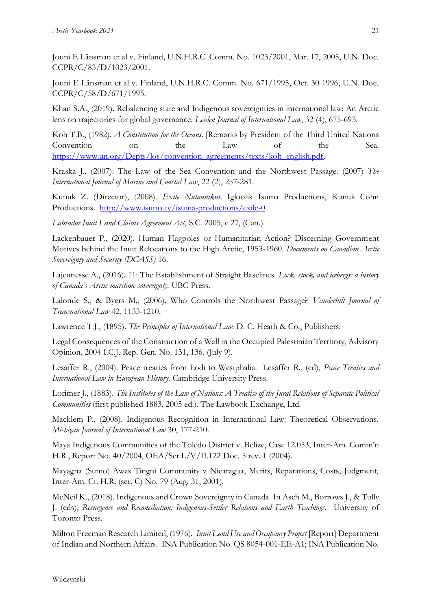Jouni E Länsman et al v. Finland, U.N.H.R.C. Comm. No. 1023/2001, Mar. 17, 2005, U.N. Doc. CCPR/C/83/D/1023/2001.

Jouni E Länsman et al v. Finland, U.N.H.R.C. Comm. No. 671/1995, Oct. 30 1996, U.N. Doc. CCPR/C/58/D/671/1995.

Khan S.A., (2019). Rebalancing state and Indigenous sovereignties in international law: An Arctic lens on trajectories for global governance. *Leiden Journal of International Law*, 32 (4), 675-693.

Koh T.B., (1982). *A Constitution for the Oceans*. [Remarks by President of the Third United Nations Convention on the Law of the Sea. [https://www.un.org/Depts/los/convention\\_agreements/texts/koh\\_english.pdf.](https://www.un.org/Depts/los/convention_agreements/texts/koh_english.pdf)

Kraska J., (2007). The Law of the Sea Convention and the Northwest Passage. (2007) *The International Journal of Marine and Coastal Law*, 22 (2), 257-281.

Kunuk Z. (Director), (2008). *Exile Nutaunikut*. Igloolik Isuma Productions, Kunuk Cohn Productions. <http://www.isuma.tv/isuma-productions/exile-0>

*Labrador Inuit Land Claims Agreement Act*, S.C. 2005, c 27, (Can.).

Lackenbauer P., (2020). Human Flagpoles or Humanitarian Action? Discerning Government Motives behind the Inuit Relocations to the High Arctic, 1953-1960. *Documents on Canadian Arctic Sovereignty and Security (DCASS)* 16.

Lajeunesse A., (2016). 11: The Establishment of Straight Baselines. *Lock, stock, and icebergs: a history of Canada's Arctic maritime sovereignty.* UBC Press.

Lalonde S., & Byers M., (2006). Who Controls the Northwest Passage? *Vanderbilt Journal of Transnational Law* 42, 1133-1210.

Lawrence T.J., (1895). *The Principles of International Law.* D. C. Heath & Co., Publishers.

Legal Consequences of the Construction of a Wall in the Occupied Palestinian Territory, Advisory Opinion, 2004 I.C.J. Rep. Gen. No. 131, 136. (July 9).

Lesaffer R., (2004). Peace treaties from Lodi to Westphalia. Lesaffer R., (ed), *Peace Treaties and International Law in European History.* Cambridge University Press.

Lorimer J., (1883). *The Institutes of the Law of Nations: A Treatise of the Jural Relations of Separate Political Communities* (first published 1883, 2005 ed.). The Lawbook Exchange, Ltd.

Macklem P., (2008). Indigenous Recognition in International Law: Theoretical Observations. *Michigan Journal of International Law* 30, 177-210.

Maya Indigenous Communities of the Toledo District v. Belize, Case 12.053, Inter-Am. Comm'n H.R., Report No. 40/2004, OEA/Ser.L/V/II.122 Doc. 5 rev. 1 (2004).

Mayagna (Sumo) Awas Tingni Community v Nicaragua, Merits, Reparations, Costs, Judgment, Inter-Am. Ct. H.R. (ser. C) No. 79 (Aug. 31, 2001).

McNeil K., (2018). Indigenous and Crown Sovereignty in Canada. In Asch M., Borrows J., & Tully J. (eds), *Resurgence and Reconciliation: Indigenous-Settler Relations and Earth Teachings.* University of Toronto Press.

Milton Freeman Research Limited, (1976). *Inuit Land Use and Occupancy Project* [Report] Department of Indian and Northern Affairs. INA Publication No. QS 8054-001-EE-A1; INA Publication No.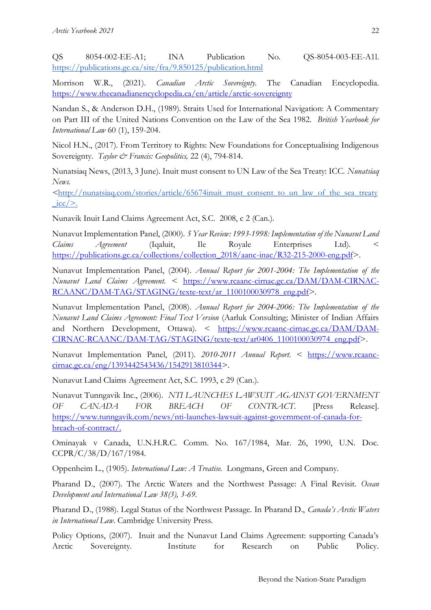QS 8054-002-EE-A1; INA Publication No. QS-8054-003-EE-A1l. <https://publications.gc.ca/site/fra/9.850125/publication.html>

Morrison W.R., (2021). *Canadian Arctic Sovereignty.* The Canadian Encyclopedia. <https://www.thecanadianencyclopedia.ca/en/article/arctic-sovereignty>

Nandan S., & Anderson D.H., (1989). Straits Used for International Navigation: A Commentary on Part III of the United Nations Convention on the Law of the Sea 1982. *British Yearbook for International Law* 60 (1), 159-204.

Nicol H.N., (2017). From Territory to Rights: New Foundations for Conceptualising Indigenous Sovereignty. *Taylor & Francis: Geopolitics*, 22 (4), 794-814.

Nunatsiaq News, (2013, 3 June). Inuit must consent to UN Law of the Sea Treaty: ICC. *Nunatsiaq News.* 

*<*[http://nunatsiaq.com/stories/article/65674inuit\\_must\\_consent\\_to\\_un\\_law\\_of\\_the\\_sea\\_treaty](http://nunatsiaq.com/stories/article/65674inuit_must_consent_to_un_law_of_the_sea_treaty_icc/)  $\text{icc}$  $>$ .

Nunavik Inuit Land Claims Agreement Act, S.C. 2008, c 2 (Can.).

Nunavut Implementation Panel, (2000). *5 Year Review: 1993-1998: Implementation of the Nunavut Land Claims Agreement* (Iqaluit, Ile Royale Enterprises Ltd). < [https://publications.gc.ca/collections/collection\\_2018/aanc-inac/R32-215-2000-eng.pdf>](https://publications.gc.ca/collections/collection_2018/aanc-inac/R32-215-2000-eng.pdf).

Nunavut Implementation Panel, (2004). *Annual Report for 2001-2004: The Implementation of the Nunavut Land Claims Agreement.* < [https://www.rcaanc-cirnac.gc.ca/DAM/DAM-CIRNAC-](https://www.rcaanc-cirnac.gc.ca/DAM/DAM-CIRNAC-RCAANC/DAM-TAG/STAGING/texte-text/ar_1100100030978_eng.pdf)[RCAANC/DAM-TAG/STAGING/texte-text/ar\\_1100100030978\\_eng.pdf>](https://www.rcaanc-cirnac.gc.ca/DAM/DAM-CIRNAC-RCAANC/DAM-TAG/STAGING/texte-text/ar_1100100030978_eng.pdf).

Nunavut Implementation Panel, (2008). *Annual Report for 2004-2006: The Implementation of the Nunavut Land Claims Agreement: Final Text Version* (Aarluk Consulting; Minister of Indian Affairs and Northern Development, Ottawa). < [https://www.rcaanc-cirnac.gc.ca/DAM/DAM-](https://www.rcaanc-cirnac.gc.ca/DAM/DAM-CIRNAC-RCAANC/DAM-TAG/STAGING/texte-text/ar0406_1100100030974_eng.pdf)[CIRNAC-RCAANC/DAM-TAG/STAGING/texte-text/ar0406\\_1100100030974\\_eng.pdf>](https://www.rcaanc-cirnac.gc.ca/DAM/DAM-CIRNAC-RCAANC/DAM-TAG/STAGING/texte-text/ar0406_1100100030974_eng.pdf).

Nunavut Implementation Panel, (2011). *2010-2011 Annual Report.* < [https://www.rcaanc](https://www.rcaanc-cirnac.gc.ca/eng/1393442543436/1542913810344)[cirnac.gc.ca/eng/1393442543436/1542913810344>](https://www.rcaanc-cirnac.gc.ca/eng/1393442543436/1542913810344).

Nunavut Land Claims Agreement Act, S.C. 1993, c 29 (Can.).

Nunavut Tunngavik Inc., (2006). *NTI LAUNCHES LAWSUIT AGAINST GOVERNMENT OF CANADA FOR BREACH OF CONTRACT*. [Press Release]. [https://www.tunngavik.com/news/nti-launches-lawsuit-against-government-of-canada-for](https://www.tunngavik.com/news/nti-launches-lawsuit-against-government-of-canada-for-breach-of-contract/)[breach-of-contract/.](https://www.tunngavik.com/news/nti-launches-lawsuit-against-government-of-canada-for-breach-of-contract/)

Ominayak v Canada, U.N.H.R.C. Comm. No. 167/1984, Mar. 26, 1990, U.N. Doc. CCPR/C/38/D/167/1984.

Oppenheim L., (1905). *International Law: A Treatise.* Longmans, Green and Company.

Pharand D., (2007). The Arctic Waters and the Northwest Passage: A Final Revisit. *Ocean Development and International Law 38(3), 3-69.* 

Pharand D., (1988). Legal Status of the Northwest Passage. In Pharand D., *Canada's Arctic Waters in International Law*. Cambridge University Press.

Policy Options, (2007). Inuit and the Nunavut Land Claims Agreement: supporting Canada's Arctic Sovereignty. Institute for Research on Public Policy.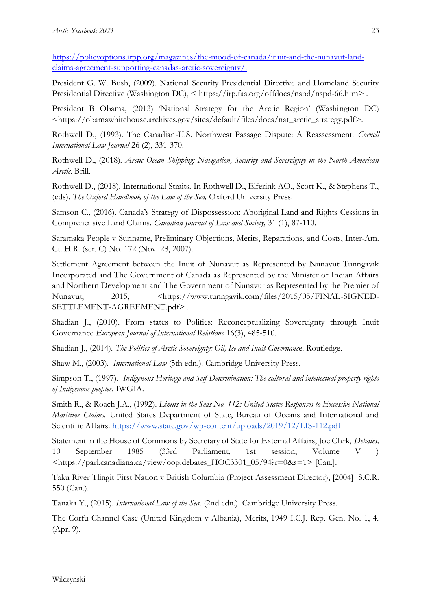[https://policyoptions.irpp.org/magazines/the-mood-of-canada/inuit-and-the-nunavut-land](https://policyoptions.irpp.org/magazines/the-mood-of-canada/inuit-and-the-nunavut-land-claims-agreement-supporting-canadas-arctic-sovereignty/)[claims-agreement-supporting-canadas-arctic-sovereignty/.](https://policyoptions.irpp.org/magazines/the-mood-of-canada/inuit-and-the-nunavut-land-claims-agreement-supporting-canadas-arctic-sovereignty/)

President G. W. Bush, (2009). National Security Presidential Directive and Homeland Security Presidential Directive (Washington DC), < https://irp.fas.org/offdocs/nspd/nspd-66.htm> .

President B Obama, (2013) 'National Strategy for the Arctic Region' (Washington DC) [<https://obamawhitehouse.archives.gov/sites/default/files/docs/nat\\_arctic\\_strategy.pdf>](https://obamawhitehouse.archives.gov/sites/default/files/docs/nat_arctic_strategy.pdf).

Rothwell D., (1993). The Canadian-U.S. Northwest Passage Dispute: A Reassessment. *Cornell International Law Journal* 26 (2), 331-370.

Rothwell D., (2018). *Arctic Ocean Shipping: Navigation, Security and Sovereignty in the North American Arctic*. Brill.

Rothwell D., (2018). International Straits. In Rothwell D., Elferink AO., Scott K., & Stephens T., (eds). *The Oxford Handbook of the Law of the Sea,* Oxford University Press.

Samson C., (2016). Canada's Strategy of Dispossession: Aboriginal Land and Rights Cessions in Comprehensive Land Claims. *Canadian Journal of Law and Society,* 31 (1), 87-110.

Saramaka People v Suriname, Preliminary Objections, Merits, Reparations, and Costs, Inter-Am. Ct. H.R. (ser. C) No. 172 (Nov. 28, 2007).

Settlement Agreement between the Inuit of Nunavut as Represented by Nunavut Tunngavik Incorporated and The Government of Canada as Represented by the Minister of Indian Affairs and Northern Development and The Government of Nunavut as Represented by the Premier of Nunavut, 2015, <https://www.tunngavik.com/files/2015/05/FINAL-SIGNED-SETTLEMENT-AGREEMENT.pdf> .

Shadian J., (2010). From states to Polities: Reconceptualizing Sovereignty through Inuit Governance *European Journal of International Relations* 16(3), 485-510.

Shadian J., (2014). *The Politics of Arctic Sovereignty: Oil, Ice and Inuit Governanc*e. Routledge.

Shaw M., (2003). *International Law* (5th edn.). Cambridge University Press.

Simpson T., (1997). *Indigenous Heritage and Self-Determination: The cultural and intellectual property rights of Indigenous peoples.* IWGIA.

Smith R., & Roach J.A., (1992). *Limits in the Seas No. 112: United States Responses to Excessive National Maritime Claims.* United States Department of State, Bureau of Oceans and International and Scientific Affairs.<https://www.state.gov/wp-content/uploads/2019/12/LIS-112.pdf>

Statement in the House of Commons by Secretary of State for External Affairs, Joe Clark, *Debates,* 10 September 1985 (33rd Parliament, 1st session, Volume V )  $\leq$ https://parl.canadiana.ca/view/oop.debates\_HOC3301\_05/94?r=0&s=1> [Can.].

Taku River Tlingit First Nation v British Columbia (Project Assessment Director), [2004] S.C.R. 550 (Can.).

Tanaka Y., (2015). *International Law of the Sea.* (2nd edn.). Cambridge University Press.

The Corfu Channel Case (United Kingdom v Albania), Merits, 1949 I.C.J. Rep. Gen. No. 1, 4. (Apr. 9).